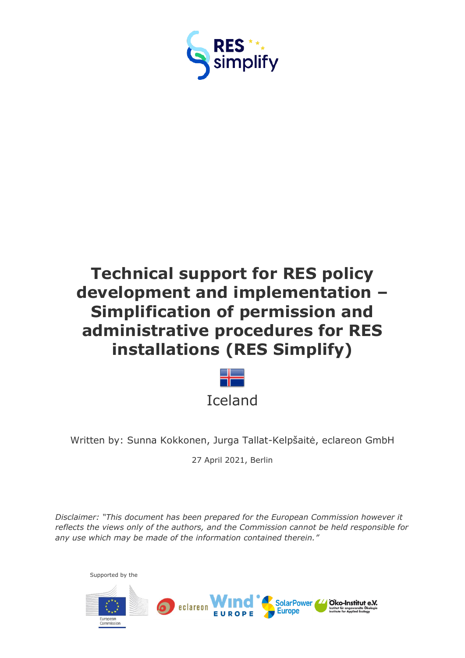

# **Technical support for RES policy development and implementation – Simplification of permission and administrative procedures for RES installations (RES Simplify)**



Written by: Sunna Kokkonen, Jurga Tallat-Kelpšaitė, eclareon GmbH

27 April 2021, Berlin

*Disclaimer: "This document has been prepared for the European Commission however it reflects the views only of the authors, and the Commission cannot be held responsible for any use which may be made of the information contained therein."*

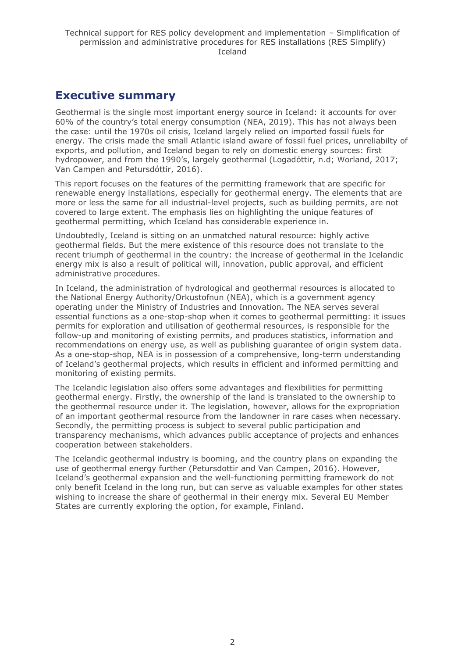# <span id="page-1-0"></span>**Executive summary**

Geothermal is the single most important energy source in Iceland: it accounts for over 60% of the country's total energy consumption (NEA, 2019). This has not always been the case: until the 1970s oil crisis, Iceland largely relied on imported fossil fuels for energy. The crisis made the small Atlantic island aware of fossil fuel prices, unreliabilty of exports, and pollution, and Iceland began to rely on domestic energy sources: first hydropower, and from the 1990's, largely geothermal (Logadóttir, n.d; Worland, 2017; Van Campen and Petursdóttir, 2016).

This report focuses on the features of the permitting framework that are specific for renewable energy installations, especially for geothermal energy. The elements that are more or less the same for all industrial-level projects, such as building permits, are not covered to large extent. The emphasis lies on highlighting the unique features of geothermal permitting, which Iceland has considerable experience in.

Undoubtedly, Iceland is sitting on an unmatched natural resource: highly active geothermal fields. But the mere existence of this resource does not translate to the recent triumph of geothermal in the country: the increase of geothermal in the Icelandic energy mix is also a result of political will, innovation, public approval, and efficient administrative procedures.

In Iceland, the administration of hydrological and geothermal resources is allocated to the National Energy Authority/Orkustofnun (NEA), which is a government agency operating under the Ministry of Industries and Innovation. The NEA serves several essential functions as a one-stop-shop when it comes to geothermal permitting: it issues permits for exploration and utilisation of geothermal resources, is responsible for the follow-up and monitoring of existing permits, and produces statistics, information and recommendations on energy use, as well as publishing guarantee of origin system data. As a one-stop-shop, NEA is in possession of a comprehensive, long-term understanding of Iceland's geothermal projects, which results in efficient and informed permitting and monitoring of existing permits.

The Icelandic legislation also offers some advantages and flexibilities for permitting geothermal energy. Firstly, the ownership of the land is translated to the ownership to the geothermal resource under it. The legislation, however, allows for the expropriation of an important geothermal resource from the landowner in rare cases when necessary. Secondly, the permitting process is subject to several public participation and transparency mechanisms, which advances public acceptance of projects and enhances cooperation between stakeholders.

The Icelandic geothermal industry is booming, and the country plans on expanding the use of geothermal energy further (Petursdottir and Van Campen, 2016). However, Iceland's geothermal expansion and the well-functioning permitting framework do not only benefit Iceland in the long run, but can serve as valuable examples for other states wishing to increase the share of geothermal in their energy mix. Several EU Member States are currently exploring the option, for example, Finland.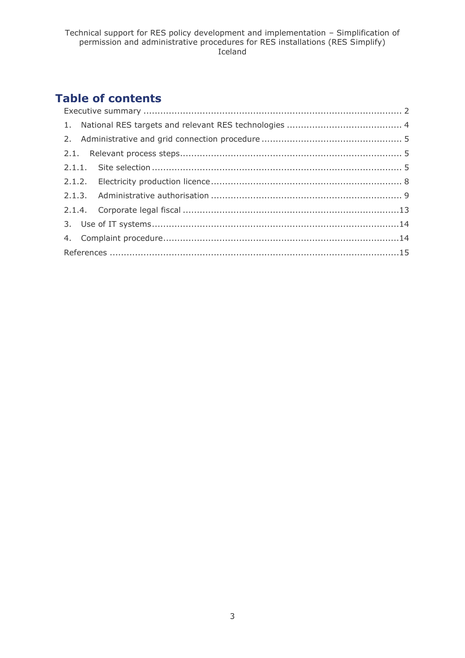# **Table of contents**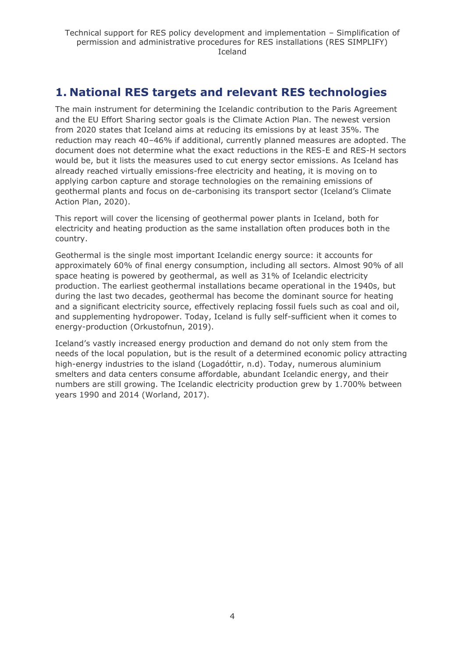# <span id="page-3-0"></span>**1. National RES targets and relevant RES technologies**

The main instrument for determining the Icelandic contribution to the Paris Agreement and the EU Effort Sharing sector goals is the Climate Action Plan. The newest version from 2020 states that Iceland aims at reducing its emissions by at least 35%. The reduction may reach 40–46% if additional, currently planned measures are adopted. The document does not determine what the exact reductions in the RES-E and RES-H sectors would be, but it lists the measures used to cut energy sector emissions. As Iceland has already reached virtually emissions-free electricity and heating, it is moving on to applying carbon capture and storage technologies on the remaining emissions of geothermal plants and focus on de-carbonising its transport sector (Iceland's Climate Action Plan, 2020).

This report will cover the licensing of geothermal power plants in Iceland, both for electricity and heating production as the same installation often produces both in the country.

Geothermal is the single most important Icelandic energy source: it accounts for approximately 60% of final energy consumption, including all sectors. Almost 90% of all space heating is powered by geothermal, as well as 31% of Icelandic electricity production. The earliest geothermal installations became operational in the 1940s, but during the last two decades, geothermal has become the dominant source for heating and a significant electricity source, effectively replacing fossil fuels such as coal and oil, and supplementing hydropower. Today, Iceland is fully self-sufficient when it comes to energy-production (Orkustofnun, 2019).

Iceland's vastly increased energy production and demand do not only stem from the needs of the local population, but is the result of a determined economic policy attracting high-energy industries to the island (Logadóttir, n.d). Today, numerous aluminium smelters and data centers consume affordable, abundant Icelandic energy, and their numbers are still growing. The Icelandic electricity production grew by 1.700% between years 1990 and 2014 (Worland, 2017).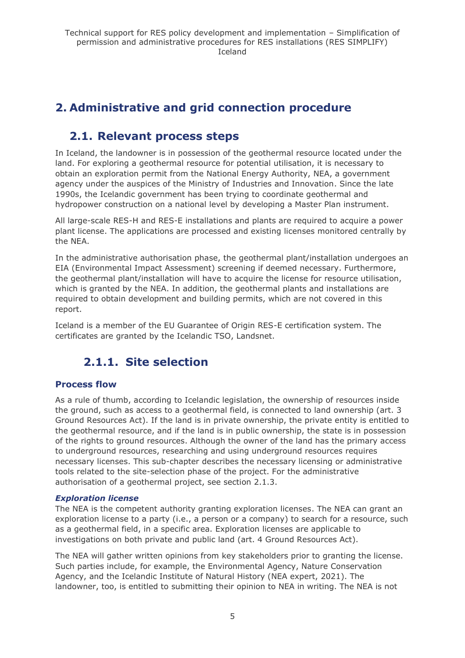# <span id="page-4-0"></span>**2. Administrative and grid connection procedure**

# <span id="page-4-1"></span>**2.1. Relevant process steps**

In Iceland, the landowner is in possession of the geothermal resource located under the land. For exploring a geothermal resource for potential utilisation, it is necessary to obtain an exploration permit from the National Energy Authority, NEA, a government agency under the auspices of the Ministry of Industries and Innovation. Since the late 1990s, the Icelandic government has been trying to coordinate geothermal and hydropower construction on a national level by developing a Master Plan instrument.

All large-scale RES-H and RES-E installations and plants are required to acquire a power plant license. The applications are processed and existing licenses monitored centrally by the NEA.

In the administrative authorisation phase, the geothermal plant/installation undergoes an EIA (Environmental Impact Assessment) screening if deemed necessary. Furthermore, the geothermal plant/installation will have to acquire the license for resource utilisation, which is granted by the NEA. In addition, the geothermal plants and installations are required to obtain development and building permits, which are not covered in this report.

<span id="page-4-2"></span>Iceland is a member of the EU Guarantee of Origin RES-E certification system. The certificates are granted by the Icelandic TSO, Landsnet.

# **2.1.1. Site selection**

# **Process flow**

As a rule of thumb, according to Icelandic legislation, the ownership of resources inside the ground, such as access to a geothermal field, is connected to land ownership (art. 3 Ground Resources Act). If the land is in private ownership, the private entity is entitled to the geothermal resource, and if the land is in public ownership, the state is in possession of the rights to ground resources. Although the owner of the land has the primary access to underground resources, researching and using underground resources requires necessary licenses. This sub-chapter describes the necessary licensing or administrative tools related to the site-selection phase of the project. For the administrative authorisation of a geothermal project, see section 2.1.3.

### *Exploration license*

The NEA is the competent authority granting exploration licenses. The NEA can grant an exploration license to a party (i.e., a person or a company) to search for a resource, such as a geothermal field, in a specific area. Exploration licenses are applicable to investigations on both private and public land (art. 4 Ground Resources Act).

The NEA will gather written opinions from key stakeholders prior to granting the license. Such parties include, for example, the Environmental Agency, Nature Conservation Agency, and the Icelandic Institute of Natural History (NEA expert, 2021). The landowner, too, is entitled to submitting their opinion to NEA in writing. The NEA is not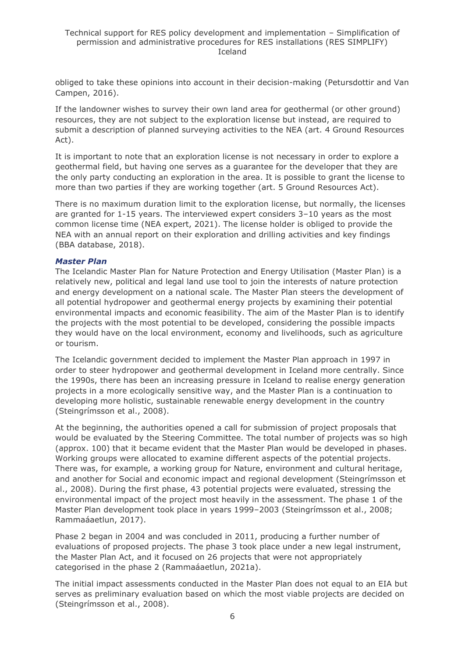obliged to take these opinions into account in their decision-making (Petursdottir and Van Campen, 2016).

If the landowner wishes to survey their own land area for geothermal (or other ground) resources, they are not subject to the exploration license but instead, are required to submit a description of planned surveying activities to the NEA (art. 4 Ground Resources Act).

It is important to note that an exploration license is not necessary in order to explore a geothermal field, but having one serves as a guarantee for the developer that they are the only party conducting an exploration in the area. It is possible to grant the license to more than two parties if they are working together (art. 5 Ground Resources Act).

There is no maximum duration limit to the exploration license, but normally, the licenses are granted for 1-15 years. The interviewed expert considers 3–10 years as the most common license time (NEA expert, 2021). The license holder is obliged to provide the NEA with an annual report on their exploration and drilling activities and key findings (BBA database, 2018).

#### *Master Plan*

The Icelandic Master Plan for Nature Protection and Energy Utilisation (Master Plan) is a relatively new, political and legal land use tool to join the interests of nature protection and energy development on a national scale. The Master Plan steers the development of all potential hydropower and geothermal energy projects by examining their potential environmental impacts and economic feasibility. The aim of the Master Plan is to identify the projects with the most potential to be developed, considering the possible impacts they would have on the local environment, economy and livelihoods, such as agriculture or tourism.

The Icelandic government decided to implement the Master Plan approach in 1997 in order to steer hydropower and geothermal development in Iceland more centrally. Since the 1990s, there has been an increasing pressure in Iceland to realise energy generation projects in a more ecologically sensitive way, and the Master Plan is a continuation to developing more holistic, sustainable renewable energy development in the country (Steingrímsson et al., 2008).

At the beginning, the authorities opened a call for submission of project proposals that would be evaluated by the Steering Committee. The total number of projects was so high (approx. 100) that it became evident that the Master Plan would be developed in phases. Working groups were allocated to examine different aspects of the potential projects. There was, for example, a working group for Nature, environment and cultural heritage, and another for Social and economic impact and regional development (Steingrímsson et al., 2008). During the first phase, 43 potential projects were evaluated, stressing the environmental impact of the project most heavily in the assessment. The phase 1 of the Master Plan development took place in years 1999–2003 (Steingrímsson et al., 2008; Rammaáaetlun, 2017).

Phase 2 began in 2004 and was concluded in 2011, producing a further number of evaluations of proposed projects. The phase 3 took place under a new legal instrument, the Master Plan Act, and it focused on 26 projects that were not appropriately categorised in the phase 2 (Rammaáaetlun, 2021a).

The initial impact assessments conducted in the Master Plan does not equal to an EIA but serves as preliminary evaluation based on which the most viable projects are decided on (Steingrímsson et al., 2008).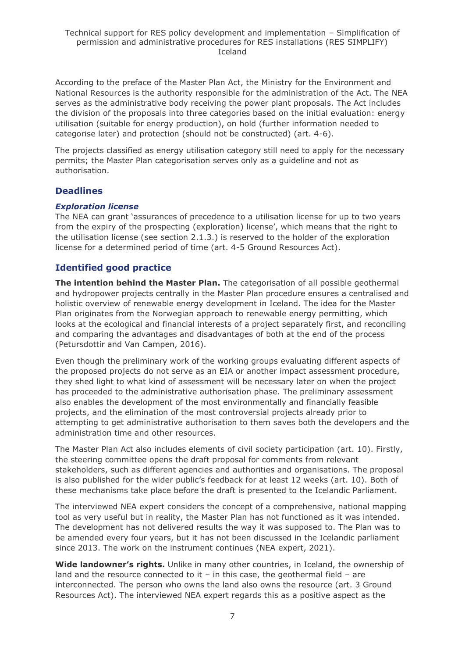According to the preface of the Master Plan Act, the Ministry for the Environment and National Resources is the authority responsible for the administration of the Act. The NEA serves as the administrative body receiving the power plant proposals. The Act includes the division of the proposals into three categories based on the initial evaluation: energy utilisation (suitable for energy production), on hold (further information needed to categorise later) and protection (should not be constructed) (art. 4-6).

The projects classified as energy utilisation category still need to apply for the necessary permits; the Master Plan categorisation serves only as a guideline and not as authorisation.

### **Deadlines**

### *Exploration license*

The NEA can grant 'assurances of precedence to a utilisation license for up to two years from the expiry of the prospecting (exploration) license', which means that the right to the utilisation license (see section 2.1.3.) is reserved to the holder of the exploration license for a determined period of time (art. 4-5 Ground Resources Act).

# **Identified good practice**

**The intention behind the Master Plan.** The categorisation of all possible geothermal and hydropower projects centrally in the Master Plan procedure ensures a centralised and holistic overview of renewable energy development in Iceland. The idea for the Master Plan originates from the Norwegian approach to renewable energy permitting, which looks at the ecological and financial interests of a project separately first, and reconciling and comparing the advantages and disadvantages of both at the end of the process (Petursdottir and Van Campen, 2016).

Even though the preliminary work of the working groups evaluating different aspects of the proposed projects do not serve as an EIA or another impact assessment procedure, they shed light to what kind of assessment will be necessary later on when the project has proceeded to the administrative authorisation phase. The preliminary assessment also enables the development of the most environmentally and financially feasible projects, and the elimination of the most controversial projects already prior to attempting to get administrative authorisation to them saves both the developers and the administration time and other resources.

The Master Plan Act also includes elements of civil society participation (art. 10). Firstly, the steering committee opens the draft proposal for comments from relevant stakeholders, such as different agencies and authorities and organisations. The proposal is also published for the wider public's feedback for at least 12 weeks (art. 10). Both of these mechanisms take place before the draft is presented to the Icelandic Parliament.

The interviewed NEA expert considers the concept of a comprehensive, national mapping tool as very useful but in reality, the Master Plan has not functioned as it was intended. The development has not delivered results the way it was supposed to. The Plan was to be amended every four years, but it has not been discussed in the Icelandic parliament since 2013. The work on the instrument continues (NEA expert, 2021).

Wide landowner's rights. Unlike in many other countries, in Iceland, the ownership of land and the resource connected to it – in this case, the geothermal field – are interconnected. The person who owns the land also owns the resource (art. 3 Ground Resources Act). The interviewed NEA expert regards this as a positive aspect as the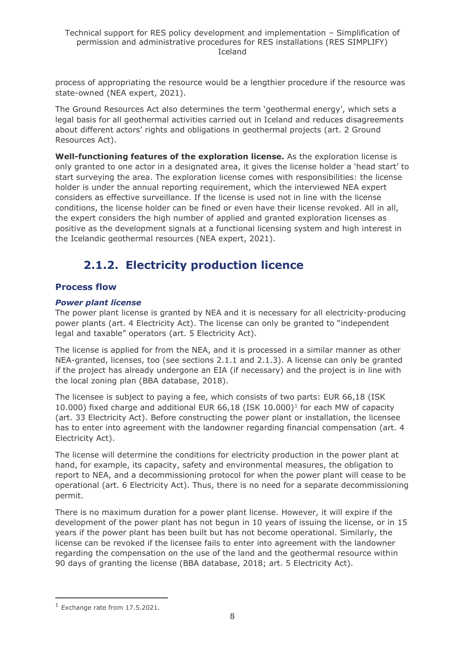process of appropriating the resource would be a lengthier procedure if the resource was state-owned (NEA expert, 2021).

The Ground Resources Act also determines the term 'geothermal energy', which sets a legal basis for all geothermal activities carried out in Iceland and reduces disagreements about different actors' rights and obligations in geothermal projects (art. 2 Ground Resources Act).

**Well-functioning features of the exploration license.** As the exploration license is only granted to one actor in a designated area, it gives the license holder a 'head start' to start surveying the area. The exploration license comes with responsibilities: the license holder is under the annual reporting requirement, which the interviewed NEA expert considers as effective surveillance. If the license is used not in line with the license conditions, the license holder can be fined or even have their license revoked. All in all, the expert considers the high number of applied and granted exploration licenses as positive as the development signals at a functional licensing system and high interest in the Icelandic geothermal resources (NEA expert, 2021).

# **2.1.2. Electricity production licence**

# <span id="page-7-0"></span>**Process flow**

### *Power plant license*

The power plant license is granted by NEA and it is necessary for all electricity-producing power plants (art. 4 Electricity Act). The license can only be granted to "independent legal and taxable" operators (art. 5 Electricity Act).

The license is applied for from the NEA, and it is processed in a similar manner as other NEA-granted, licenses, too (see sections 2.1.1 and 2.1.3). A license can only be granted if the project has already undergone an EIA (if necessary) and the project is in line with the local zoning plan (BBA database, 2018).

The licensee is subject to paying a fee, which consists of two parts: EUR 66,18 (ISK 10.000) fixed charge and additional EUR 66,18 (ISK 10.000)<sup>1</sup> for each MW of capacity (art. 33 Electricity Act). Before constructing the power plant or installation, the licensee has to enter into agreement with the landowner regarding financial compensation (art. 4 Electricity Act).

The license will determine the conditions for electricity production in the power plant at hand, for example, its capacity, safety and environmental measures, the obligation to report to NEA, and a decommissioning protocol for when the power plant will cease to be operational (art. 6 Electricity Act). Thus, there is no need for a separate decommissioning permit.

There is no maximum duration for a power plant license. However, it will expire if the development of the power plant has not begun in 10 years of issuing the license, or in 15 years if the power plant has been built but has not become operational. Similarly, the license can be revoked if the licensee fails to enter into agreement with the landowner regarding the compensation on the use of the land and the geothermal resource within 90 days of granting the license (BBA database, 2018; art. 5 Electricity Act).

<sup>1</sup> Exchange rate from 17.5.2021.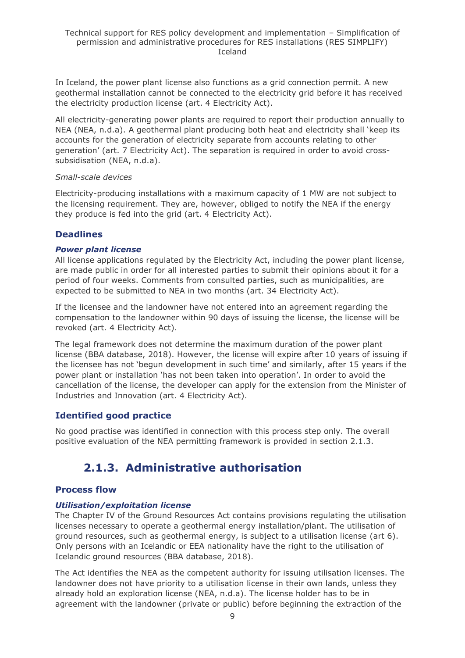In Iceland, the power plant license also functions as a grid connection permit. A new geothermal installation cannot be connected to the electricity grid before it has received the electricity production license (art. 4 Electricity Act).

All electricity-generating power plants are required to report their production annually to NEA (NEA, n.d.a). A geothermal plant producing both heat and electricity shall 'keep its accounts for the generation of electricity separate from accounts relating to other generation' (art. 7 Electricity Act). The separation is required in order to avoid crosssubsidisation (NEA, n.d.a).

#### *Small-scale devices*

Electricity-producing installations with a maximum capacity of 1 MW are not subject to the licensing requirement. They are, however, obliged to notify the NEA if the energy they produce is fed into the grid (art. 4 Electricity Act).

# **Deadlines**

### *Power plant license*

All license applications regulated by the Electricity Act, including the power plant license, are made public in order for all interested parties to submit their opinions about it for a period of four weeks. Comments from consulted parties, such as municipalities, are expected to be submitted to NEA in two months (art. 34 Electricity Act).

If the licensee and the landowner have not entered into an agreement regarding the compensation to the landowner within 90 days of issuing the license, the license will be revoked (art. 4 Electricity Act).

The legal framework does not determine the maximum duration of the power plant license (BBA database, 2018). However, the license will expire after 10 years of issuing if the licensee has not 'begun development in such time' and similarly, after 15 years if the power plant or installation 'has not been taken into operation'. In order to avoid the cancellation of the license, the developer can apply for the extension from the Minister of Industries and Innovation (art. 4 Electricity Act).

# **Identified good practice**

<span id="page-8-0"></span>No good practise was identified in connection with this process step only. The overall positive evaluation of the NEA permitting framework is provided in section 2.1.3.

# **2.1.3. Administrative authorisation**

# **Process flow**

# *Utilisation/exploitation license*

The Chapter IV of the Ground Resources Act contains provisions regulating the utilisation licenses necessary to operate a geothermal energy installation/plant. The utilisation of ground resources, such as geothermal energy, is subject to a utilisation license (art 6). Only persons with an Icelandic or EEA nationality have the right to the utilisation of Icelandic ground resources (BBA database, 2018).

The Act identifies the NEA as the competent authority for issuing utilisation licenses. The landowner does not have priority to a utilisation license in their own lands, unless they already hold an exploration license (NEA, n.d.a). The license holder has to be in agreement with the landowner (private or public) before beginning the extraction of the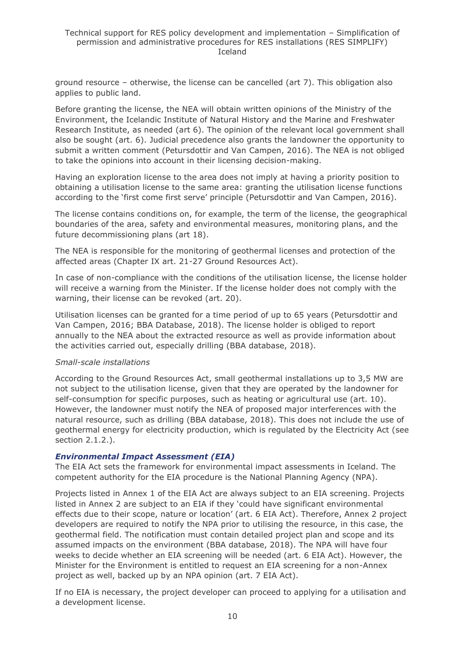ground resource – otherwise, the license can be cancelled (art 7). This obligation also applies to public land.

Before granting the license, the NEA will obtain written opinions of the Ministry of the Environment, the Icelandic Institute of Natural History and the Marine and Freshwater Research Institute, as needed (art 6). The opinion of the relevant local government shall also be sought (art. 6). Judicial precedence also grants the landowner the opportunity to submit a written comment (Petursdottir and Van Campen, 2016). The NEA is not obliged to take the opinions into account in their licensing decision-making.

Having an exploration license to the area does not imply at having a priority position to obtaining a utilisation license to the same area: granting the utilisation license functions according to the 'first come first serve' principle (Petursdottir and Van Campen, 2016).

The license contains conditions on, for example, the term of the license, the geographical boundaries of the area, safety and environmental measures, monitoring plans, and the future decommissioning plans (art 18).

The NEA is responsible for the monitoring of geothermal licenses and protection of the affected areas (Chapter IX art. 21-27 Ground Resources Act).

In case of non-compliance with the conditions of the utilisation license, the license holder will receive a warning from the Minister. If the license holder does not comply with the warning, their license can be revoked (art. 20).

Utilisation licenses can be granted for a time period of up to 65 years (Petursdottir and Van Campen, 2016; BBA Database, 2018). The license holder is obliged to report annually to the NEA about the extracted resource as well as provide information about the activities carried out, especially drilling (BBA database, 2018).

#### *Small-scale installations*

According to the Ground Resources Act, small geothermal installations up to 3,5 MW are not subject to the utilisation license, given that they are operated by the landowner for self-consumption for specific purposes, such as heating or agricultural use (art. 10). However, the landowner must notify the NEA of proposed major interferences with the natural resource, such as drilling (BBA database, 2018). This does not include the use of geothermal energy for electricity production, which is regulated by the Electricity Act (see section 2.1.2.).

#### *Environmental Impact Assessment (EIA)*

The EIA Act sets the framework for environmental impact assessments in Iceland. The competent authority for the EIA procedure is the National Planning Agency (NPA).

Projects listed in Annex 1 of the EIA Act are always subject to an EIA screening. Projects listed in Annex 2 are subject to an EIA if they 'could have significant environmental effects due to their scope, nature or location' (art. 6 EIA Act). Therefore, Annex 2 project developers are required to notify the NPA prior to utilising the resource, in this case, the geothermal field. The notification must contain detailed project plan and scope and its assumed impacts on the environment (BBA database, 2018). The NPA will have four weeks to decide whether an EIA screening will be needed (art. 6 EIA Act). However, the Minister for the Environment is entitled to request an EIA screening for a non-Annex project as well, backed up by an NPA opinion (art. 7 EIA Act).

If no EIA is necessary, the project developer can proceed to applying for a utilisation and a development license.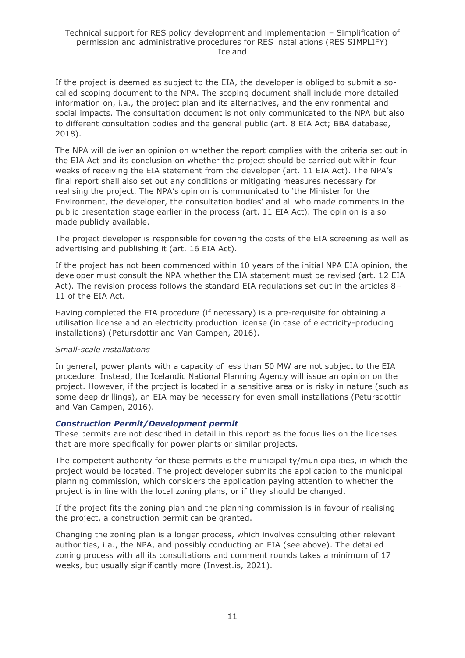If the project is deemed as subject to the EIA, the developer is obliged to submit a socalled scoping document to the NPA. The scoping document shall include more detailed information on, i.a., the project plan and its alternatives, and the environmental and social impacts. The consultation document is not only communicated to the NPA but also to different consultation bodies and the general public (art. 8 EIA Act; BBA database, 2018).

The NPA will deliver an opinion on whether the report complies with the criteria set out in the EIA Act and its conclusion on whether the project should be carried out within four weeks of receiving the EIA statement from the developer (art. 11 EIA Act). The NPA's final report shall also set out any conditions or mitigating measures necessary for realising the project. The NPA's opinion is communicated to 'the Minister for the Environment, the developer, the consultation bodies' and all who made comments in the public presentation stage earlier in the process (art. 11 EIA Act). The opinion is also made publicly available.

The project developer is responsible for covering the costs of the EIA screening as well as advertising and publishing it (art. 16 EIA Act).

If the project has not been commenced within 10 years of the initial NPA EIA opinion, the developer must consult the NPA whether the EIA statement must be revised (art. 12 EIA Act). The revision process follows the standard EIA regulations set out in the articles 8– 11 of the EIA Act.

Having completed the EIA procedure (if necessary) is a pre-requisite for obtaining a utilisation license and an electricity production license (in case of electricity-producing installations) (Petursdottir and Van Campen, 2016).

### *Small-scale installations*

In general, power plants with a capacity of less than 50 MW are not subject to the EIA procedure. Instead, the Icelandic National Planning Agency will issue an opinion on the project. However, if the project is located in a sensitive area or is risky in nature (such as some deep drillings), an EIA may be necessary for even small installations (Petursdottir and Van Campen, 2016).

#### *Construction Permit/Development permit*

These permits are not described in detail in this report as the focus lies on the licenses that are more specifically for power plants or similar projects.

The competent authority for these permits is the municipality/municipalities, in which the project would be located. The project developer submits the application to the municipal planning commission, which considers the application paying attention to whether the project is in line with the local zoning plans, or if they should be changed.

If the project fits the zoning plan and the planning commission is in favour of realising the project, a construction permit can be granted.

Changing the zoning plan is a longer process, which involves consulting other relevant authorities, i.a., the NPA, and possibly conducting an EIA (see above). The detailed zoning process with all its consultations and comment rounds takes a minimum of 17 weeks, but usually significantly more (Invest.is, 2021).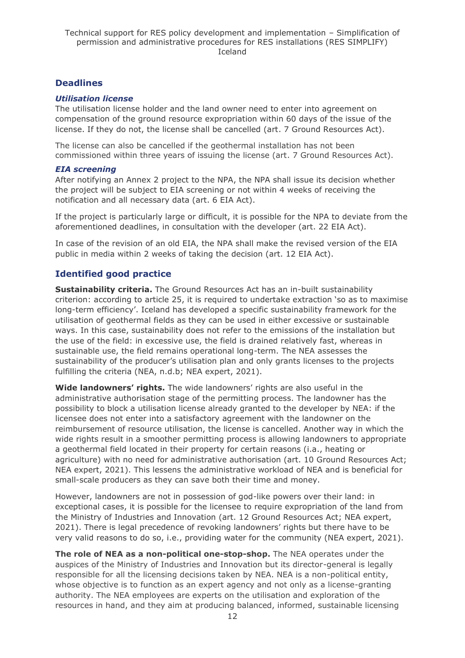# **Deadlines**

#### *Utilisation license*

The utilisation license holder and the land owner need to enter into agreement on compensation of the ground resource expropriation within 60 days of the issue of the license. If they do not, the license shall be cancelled (art. 7 Ground Resources Act).

The license can also be cancelled if the geothermal installation has not been commissioned within three years of issuing the license (art. 7 Ground Resources Act).

#### *EIA screening*

After notifying an Annex 2 project to the NPA, the NPA shall issue its decision whether the project will be subject to EIA screening or not within 4 weeks of receiving the notification and all necessary data (art. 6 EIA Act).

If the project is particularly large or difficult, it is possible for the NPA to deviate from the aforementioned deadlines, in consultation with the developer (art. 22 EIA Act).

In case of the revision of an old EIA, the NPA shall make the revised version of the EIA public in media within 2 weeks of taking the decision (art. 12 EIA Act).

# **Identified good practice**

**Sustainability criteria.** The Ground Resources Act has an in-built sustainability criterion: according to article 25, it is required to undertake extraction 'so as to maximise long-term efficiency'. Iceland has developed a specific sustainability framework for the utilisation of geothermal fields as they can be used in either excessive or sustainable ways. In this case, sustainability does not refer to the emissions of the installation but the use of the field: in excessive use, the field is drained relatively fast, whereas in sustainable use, the field remains operational long-term. The NEA assesses the sustainability of the producer's utilisation plan and only grants licenses to the projects fulfilling the criteria (NEA, n.d.b; NEA expert, 2021).

**Wide landowners' rights.** The wide landowners' rights are also useful in the administrative authorisation stage of the permitting process. The landowner has the possibility to block a utilisation license already granted to the developer by NEA: if the licensee does not enter into a satisfactory agreement with the landowner on the reimbursement of resource utilisation, the license is cancelled. Another way in which the wide rights result in a smoother permitting process is allowing landowners to appropriate a geothermal field located in their property for certain reasons (i.a., heating or agriculture) with no need for administrative authorisation (art. 10 Ground Resources Act; NEA expert, 2021). This lessens the administrative workload of NEA and is beneficial for small-scale producers as they can save both their time and money.

However, landowners are not in possession of god-like powers over their land: in exceptional cases, it is possible for the licensee to require expropriation of the land from the Ministry of Industries and Innovation (art. 12 Ground Resources Act; NEA expert, 2021). There is legal precedence of revoking landowners' rights but there have to be very valid reasons to do so, i.e., providing water for the community (NEA expert, 2021).

**The role of NEA as a non-political one-stop-shop.** The NEA operates under the auspices of the Ministry of Industries and Innovation but its director-general is legally responsible for all the licensing decisions taken by NEA. NEA is a non-political entity, whose objective is to function as an expert agency and not only as a license-granting authority. The NEA employees are experts on the utilisation and exploration of the resources in hand, and they aim at producing balanced, informed, sustainable licensing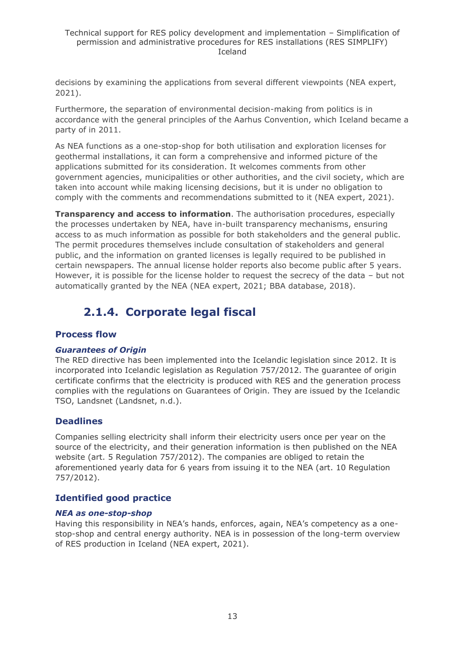decisions by examining the applications from several different viewpoints (NEA expert, 2021).

Furthermore, the separation of environmental decision-making from politics is in accordance with the general principles of the Aarhus Convention, which Iceland became a party of in 2011.

As NEA functions as a one-stop-shop for both utilisation and exploration licenses for geothermal installations, it can form a comprehensive and informed picture of the applications submitted for its consideration. It welcomes comments from other government agencies, municipalities or other authorities, and the civil society, which are taken into account while making licensing decisions, but it is under no obligation to comply with the comments and recommendations submitted to it (NEA expert, 2021).

**Transparency and access to information**. The authorisation procedures, especially the processes undertaken by NEA, have in-built transparency mechanisms, ensuring access to as much information as possible for both stakeholders and the general public. The permit procedures themselves include consultation of stakeholders and general public, and the information on granted licenses is legally required to be published in certain newspapers. The annual license holder reports also become public after 5 years. However, it is possible for the license holder to request the secrecy of the data – but not automatically granted by the NEA (NEA expert, 2021; BBA database, 2018).

# **2.1.4. Corporate legal fiscal**

# <span id="page-12-0"></span>**Process flow**

### *Guarantees of Origin*

The RED directive has been implemented into the Icelandic legislation since 2012. It is incorporated into Icelandic legislation as Regulation 757/2012. The guarantee of origin certificate confirms that the electricity is produced with RES and the generation process complies with the regulations on Guarantees of Origin. They are issued by the Icelandic TSO, Landsnet (Landsnet, n.d.).

# **Deadlines**

Companies selling electricity shall inform their electricity users once per year on the source of the electricity, and their generation information is then published on the NEA website (art. 5 Regulation 757/2012). The companies are obliged to retain the aforementioned yearly data for 6 years from issuing it to the NEA (art. 10 Regulation 757/2012).

# **Identified good practice**

### *NEA as one-stop-shop*

Having this responsibility in NEA's hands, enforces, again, NEA's competency as a onestop-shop and central energy authority. NEA is in possession of the long-term overview of RES production in Iceland (NEA expert, 2021).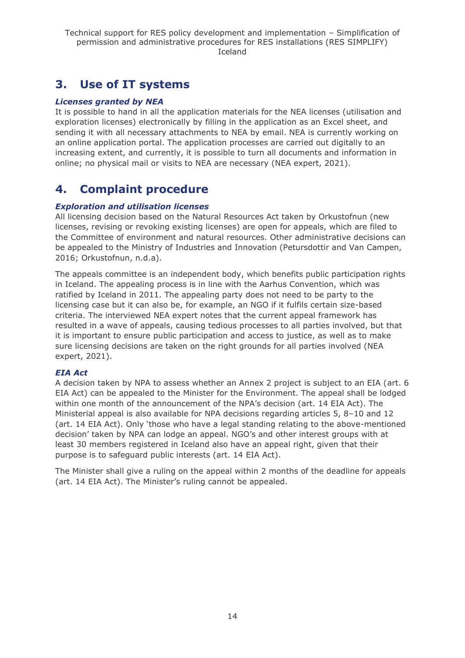# <span id="page-13-0"></span>**3. Use of IT systems**

### *Licenses granted by NEA*

It is possible to hand in all the application materials for the NEA licenses (utilisation and exploration licenses) electronically by filling in the application as an Excel sheet, and sending it with all necessary attachments to NEA by email. NEA is currently working on an online application portal. The application processes are carried out digitally to an increasing extent, and currently, it is possible to turn all documents and information in online; no physical mail or visits to NEA are necessary (NEA expert, 2021).

# <span id="page-13-1"></span>**4. Complaint procedure**

### *Exploration and utilisation licenses*

All licensing decision based on the Natural Resources Act taken by Orkustofnun (new licenses, revising or revoking existing licenses) are open for appeals, which are filed to the Committee of environment and natural resources. Other administrative decisions can be appealed to the Ministry of Industries and Innovation (Petursdottir and Van Campen, 2016; Orkustofnun, n.d.a).

The appeals committee is an independent body, which benefits public participation rights in Iceland. The appealing process is in line with the Aarhus Convention, which was ratified by Iceland in 2011. The appealing party does not need to be party to the licensing case but it can also be, for example, an NGO if it fulfils certain size-based criteria. The interviewed NEA expert notes that the current appeal framework has resulted in a wave of appeals, causing tedious processes to all parties involved, but that it is important to ensure public participation and access to justice, as well as to make sure licensing decisions are taken on the right grounds for all parties involved (NEA expert, 2021).

### *EIA Act*

A decision taken by NPA to assess whether an Annex 2 project is subject to an EIA (art. 6 EIA Act) can be appealed to the Minister for the Environment. The appeal shall be lodged within one month of the announcement of the NPA's decision (art. 14 EIA Act). The Ministerial appeal is also available for NPA decisions regarding articles 5, 8–10 and 12 (art. 14 EIA Act). Only 'those who have a legal standing relating to the above-mentioned decision' taken by NPA can lodge an appeal. NGO's and other interest groups with at least 30 members registered in Iceland also have an appeal right, given that their purpose is to safeguard public interests (art. 14 EIA Act).

The Minister shall give a ruling on the appeal within 2 months of the deadline for appeals (art. 14 EIA Act). The Minister's ruling cannot be appealed.